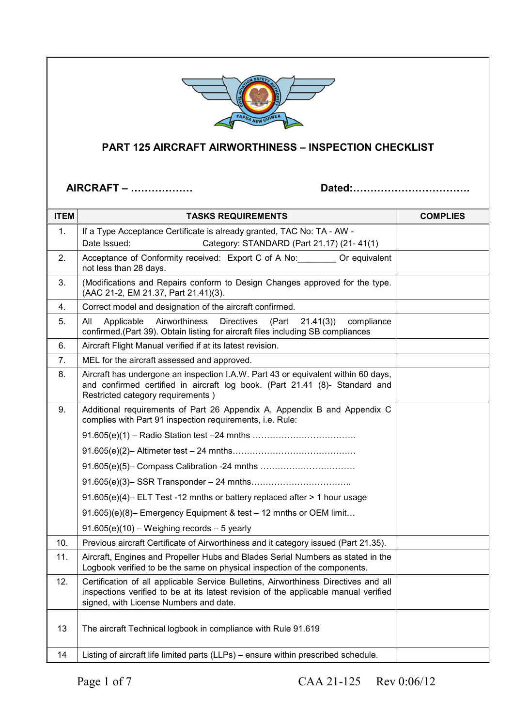

## **PART 125 AIRCRAFT AIRWORTHINESS – INSPECTION CHECKLIST**

**AIRCRAFT – Dated:.** 

| <b>ITEM</b> | <b>TASKS REQUIREMENTS</b>                                                                                                                                                                                            | <b>COMPLIES</b> |
|-------------|----------------------------------------------------------------------------------------------------------------------------------------------------------------------------------------------------------------------|-----------------|
| 1.          | If a Type Acceptance Certificate is already granted, TAC No: TA - AW -                                                                                                                                               |                 |
|             | Date Issued:<br>Category: STANDARD (Part 21.17) (21-41(1)                                                                                                                                                            |                 |
| 2.          | Acceptance of Conformity received: Export C of A No: Or equivalent<br>not less than 28 days.                                                                                                                         |                 |
| 3.          | (Modifications and Repairs conform to Design Changes approved for the type.<br>(AAC 21-2, EM 21.37, Part 21.41)(3).                                                                                                  |                 |
| 4.          | Correct model and designation of the aircraft confirmed.                                                                                                                                                             |                 |
| 5.          | Airworthiness<br><b>Directives</b><br>All<br>Applicable<br>(Part<br>21.41(3)<br>compliance<br>confirmed.(Part 39). Obtain listing for aircraft files including SB compliances                                        |                 |
| 6.          | Aircraft Flight Manual verified if at its latest revision.                                                                                                                                                           |                 |
| 7.          | MEL for the aircraft assessed and approved.                                                                                                                                                                          |                 |
| 8.          | Aircraft has undergone an inspection I.A.W. Part 43 or equivalent within 60 days,<br>and confirmed certified in aircraft log book. (Part 21.41 (8)- Standard and<br>Restricted category requirements)                |                 |
| 9.          | Additional requirements of Part 26 Appendix A, Appendix B and Appendix C<br>complies with Part 91 inspection requirements, i.e. Rule:                                                                                |                 |
|             |                                                                                                                                                                                                                      |                 |
|             |                                                                                                                                                                                                                      |                 |
|             |                                                                                                                                                                                                                      |                 |
|             |                                                                                                                                                                                                                      |                 |
|             | 91.605(e)(4)- ELT Test -12 mnths or battery replaced after > 1 hour usage                                                                                                                                            |                 |
|             | 91.605)(e)(8)- Emergency Equipment & test - 12 mnths or OEM limit                                                                                                                                                    |                 |
|             | $91.605(e)(10)$ – Weighing records – 5 yearly                                                                                                                                                                        |                 |
| 10.         | Previous aircraft Certificate of Airworthiness and it category issued (Part 21.35).                                                                                                                                  |                 |
| 11.         | Aircraft, Engines and Propeller Hubs and Blades Serial Numbers as stated in the<br>Logbook verified to be the same on physical inspection of the components.                                                         |                 |
| 12.         | Certification of all applicable Service Bulletins, Airworthiness Directives and all<br>inspections verified to be at its latest revision of the applicable manual verified<br>signed, with License Numbers and date. |                 |
| 13          | The aircraft Technical logbook in compliance with Rule 91.619                                                                                                                                                        |                 |
| 14          | Listing of aircraft life limited parts (LLPs) – ensure within prescribed schedule.                                                                                                                                   |                 |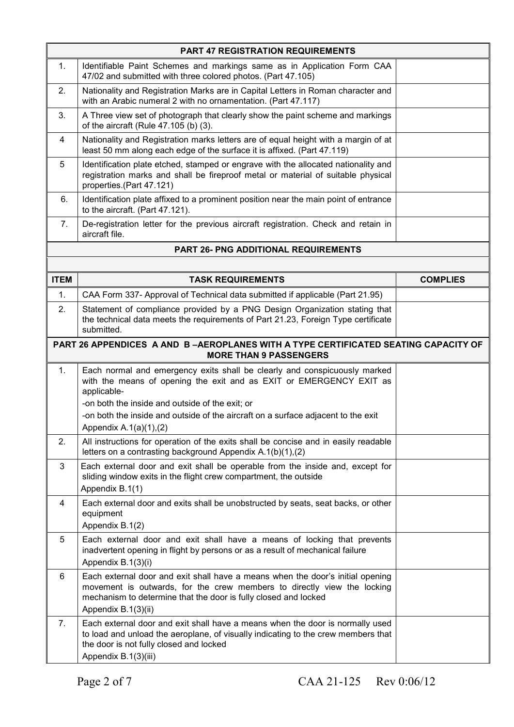| <b>PART 47 REGISTRATION REQUIREMENTS</b> |                                                                                                                                                                                                                                                     |                 |
|------------------------------------------|-----------------------------------------------------------------------------------------------------------------------------------------------------------------------------------------------------------------------------------------------------|-----------------|
| 1.                                       | Identifiable Paint Schemes and markings same as in Application Form CAA<br>47/02 and submitted with three colored photos. (Part 47.105)                                                                                                             |                 |
| 2.                                       | Nationality and Registration Marks are in Capital Letters in Roman character and<br>with an Arabic numeral 2 with no ornamentation. (Part 47.117)                                                                                                   |                 |
| 3.                                       | A Three view set of photograph that clearly show the paint scheme and markings<br>of the aircraft (Rule 47.105 (b) (3).                                                                                                                             |                 |
| 4                                        | Nationality and Registration marks letters are of equal height with a margin of at<br>least 50 mm along each edge of the surface it is affixed. (Part 47.119)                                                                                       |                 |
| 5                                        | Identification plate etched, stamped or engrave with the allocated nationality and<br>registration marks and shall be fireproof metal or material of suitable physical<br>properties.(Part 47.121)                                                  |                 |
| 6.                                       | Identification plate affixed to a prominent position near the main point of entrance<br>to the aircraft. (Part 47.121).                                                                                                                             |                 |
| 7.                                       | De-registration letter for the previous aircraft registration. Check and retain in<br>aircraft file.                                                                                                                                                |                 |
|                                          | <b>PART 26- PNG ADDITIONAL REQUIREMENTS</b>                                                                                                                                                                                                         |                 |
|                                          |                                                                                                                                                                                                                                                     |                 |
| <b>ITEM</b>                              | <b>TASK REQUIREMENTS</b>                                                                                                                                                                                                                            | <b>COMPLIES</b> |
| $\mathbf{1}$ .                           | CAA Form 337- Approval of Technical data submitted if applicable (Part 21.95)                                                                                                                                                                       |                 |
| 2.                                       | Statement of compliance provided by a PNG Design Organization stating that<br>the technical data meets the requirements of Part 21.23, Foreign Type certificate<br>submitted.                                                                       |                 |
|                                          | <b>PART 26 APPENDICES A AND B-AEROPLANES WITH A TYPE CERTIFICATED SEATING CAPACITY OF</b><br><b>MORE THAN 9 PASSENGERS</b>                                                                                                                          |                 |
| 1.                                       | Each normal and emergency exits shall be clearly and conspicuously marked<br>with the means of opening the exit and as EXIT or EMERGENCY EXIT as<br>applicable-                                                                                     |                 |
|                                          | -on both the inside and outside of the exit; or                                                                                                                                                                                                     |                 |
|                                          | -on both the inside and outside of the aircraft on a surface adjacent to the exit                                                                                                                                                                   |                 |
|                                          | Appendix A.1(a)(1),(2)                                                                                                                                                                                                                              |                 |
| 2.                                       | All instructions for operation of the exits shall be concise and in easily readable<br>letters on a contrasting background Appendix A.1(b)(1),(2)                                                                                                   |                 |
| 3                                        | Each external door and exit shall be operable from the inside and, except for<br>sliding window exits in the flight crew compartment, the outside<br>Appendix B.1(1)                                                                                |                 |
| 4                                        | Each external door and exits shall be unobstructed by seats, seat backs, or other<br>equipment<br>Appendix B.1(2)                                                                                                                                   |                 |
| 5                                        | Each external door and exit shall have a means of locking that prevents<br>inadvertent opening in flight by persons or as a result of mechanical failure<br>Appendix B.1(3)(i)                                                                      |                 |
| 6                                        | Each external door and exit shall have a means when the door's initial opening<br>movement is outwards, for the crew members to directly view the locking<br>mechanism to determine that the door is fully closed and locked<br>Appendix B.1(3)(ii) |                 |
| 7.                                       | Each external door and exit shall have a means when the door is normally used<br>to load and unload the aeroplane, of visually indicating to the crew members that<br>the door is not fully closed and locked<br>Appendix B.1(3)(iii)               |                 |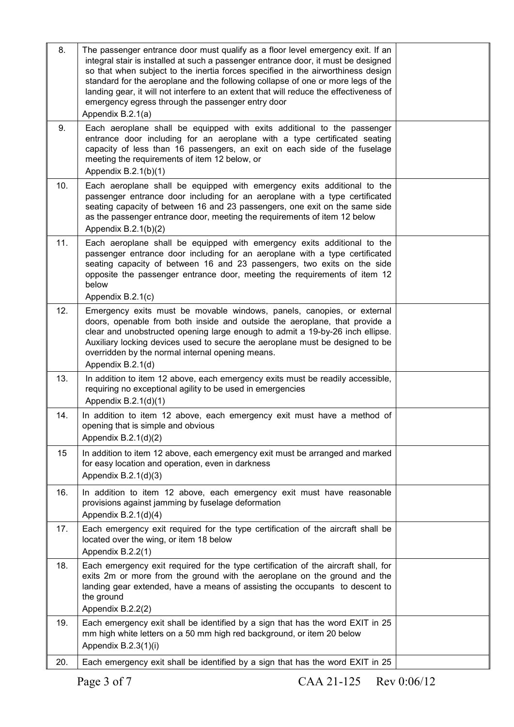| 8.  | The passenger entrance door must qualify as a floor level emergency exit. If an<br>integral stair is installed at such a passenger entrance door, it must be designed<br>so that when subject to the inertia forces specified in the airworthiness design<br>standard for the aeroplane and the following collapse of one or more legs of the<br>landing gear, it will not interfere to an extent that will reduce the effectiveness of<br>emergency egress through the passenger entry door<br>Appendix B.2.1(a) |  |
|-----|-------------------------------------------------------------------------------------------------------------------------------------------------------------------------------------------------------------------------------------------------------------------------------------------------------------------------------------------------------------------------------------------------------------------------------------------------------------------------------------------------------------------|--|
| 9.  | Each aeroplane shall be equipped with exits additional to the passenger<br>entrance door including for an aeroplane with a type certificated seating<br>capacity of less than 16 passengers, an exit on each side of the fuselage<br>meeting the requirements of item 12 below, or<br>Appendix $B.2.1(b)(1)$                                                                                                                                                                                                      |  |
| 10. | Each aeroplane shall be equipped with emergency exits additional to the<br>passenger entrance door including for an aeroplane with a type certificated<br>seating capacity of between 16 and 23 passengers, one exit on the same side<br>as the passenger entrance door, meeting the requirements of item 12 below<br>Appendix $B.2.1(b)(2)$                                                                                                                                                                      |  |
| 11. | Each aeroplane shall be equipped with emergency exits additional to the<br>passenger entrance door including for an aeroplane with a type certificated<br>seating capacity of between 16 and 23 passengers, two exits on the side<br>opposite the passenger entrance door, meeting the requirements of item 12<br>below<br>Appendix B.2.1(c)                                                                                                                                                                      |  |
| 12. | Emergency exits must be movable windows, panels, canopies, or external<br>doors, openable from both inside and outside the aeroplane, that provide a<br>clear and unobstructed opening large enough to admit a 19-by-26 inch ellipse.<br>Auxiliary locking devices used to secure the aeroplane must be designed to be<br>overridden by the normal internal opening means.<br>Appendix B.2.1(d)                                                                                                                   |  |
| 13. | In addition to item 12 above, each emergency exits must be readily accessible,<br>requiring no exceptional agility to be used in emergencies<br>Appendix $B.2.1(d)(1)$                                                                                                                                                                                                                                                                                                                                            |  |
| 14. | In addition to item 12 above, each emergency exit must have a method of<br>opening that is simple and obvious<br>Appendix $B.2.1(d)(2)$                                                                                                                                                                                                                                                                                                                                                                           |  |
| 15  | In addition to item 12 above, each emergency exit must be arranged and marked<br>for easy location and operation, even in darkness<br>Appendix $B.2.1(d)(3)$                                                                                                                                                                                                                                                                                                                                                      |  |
| 16. | In addition to item 12 above, each emergency exit must have reasonable<br>provisions against jamming by fuselage deformation<br>Appendix $B.2.1(d)(4)$                                                                                                                                                                                                                                                                                                                                                            |  |
| 17. | Each emergency exit required for the type certification of the aircraft shall be<br>located over the wing, or item 18 below<br>Appendix B.2.2(1)                                                                                                                                                                                                                                                                                                                                                                  |  |
| 18. | Each emergency exit required for the type certification of the aircraft shall, for<br>exits 2m or more from the ground with the aeroplane on the ground and the<br>landing gear extended, have a means of assisting the occupants to descent to<br>the ground<br>Appendix B.2.2(2)                                                                                                                                                                                                                                |  |
| 19. | Each emergency exit shall be identified by a sign that has the word EXIT in 25<br>mm high white letters on a 50 mm high red background, or item 20 below<br>Appendix B.2.3(1)(i)                                                                                                                                                                                                                                                                                                                                  |  |
| 20. | Each emergency exit shall be identified by a sign that has the word EXIT in 25                                                                                                                                                                                                                                                                                                                                                                                                                                    |  |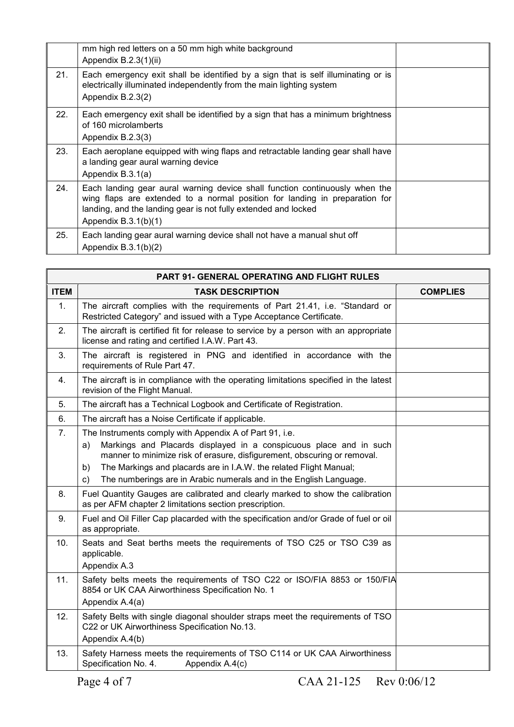|     | mm high red letters on a 50 mm high white background<br>Appendix B.2.3(1)(ii)                                                                                                                                                                          |  |
|-----|--------------------------------------------------------------------------------------------------------------------------------------------------------------------------------------------------------------------------------------------------------|--|
| 21. | Each emergency exit shall be identified by a sign that is self illuminating or is<br>electrically illuminated independently from the main lighting system<br>Appendix B.2.3(2)                                                                         |  |
| 22. | Each emergency exit shall be identified by a sign that has a minimum brightness<br>of 160 microlamberts<br>Appendix B.2.3(3)                                                                                                                           |  |
| 23. | Each aeroplane equipped with wing flaps and retractable landing gear shall have<br>a landing gear aural warning device<br>Appendix B.3.1(a)                                                                                                            |  |
| 24. | Each landing gear aural warning device shall function continuously when the<br>wing flaps are extended to a normal position for landing in preparation for<br>landing, and the landing gear is not fully extended and locked<br>Appendix $B.3.1(b)(1)$ |  |
| 25. | Each landing gear aural warning device shall not have a manual shut off<br>Appendix $B.3.1(b)(2)$                                                                                                                                                      |  |

| <b>PART 91- GENERAL OPERATING AND FLIGHT RULES</b> |                                                                                                                                                      |                 |
|----------------------------------------------------|------------------------------------------------------------------------------------------------------------------------------------------------------|-----------------|
| <b>ITEM</b>                                        | <b>TASK DESCRIPTION</b>                                                                                                                              | <b>COMPLIES</b> |
| 1.                                                 | The aircraft complies with the requirements of Part 21.41, i.e. "Standard or<br>Restricted Category" and issued with a Type Acceptance Certificate.  |                 |
| 2.                                                 | The aircraft is certified fit for release to service by a person with an appropriate<br>license and rating and certified I.A.W. Part 43.             |                 |
| 3.                                                 | The aircraft is registered in PNG and identified in accordance with the<br>requirements of Rule Part 47.                                             |                 |
| 4.                                                 | The aircraft is in compliance with the operating limitations specified in the latest<br>revision of the Flight Manual.                               |                 |
| 5.                                                 | The aircraft has a Technical Logbook and Certificate of Registration.                                                                                |                 |
| 6.                                                 | The aircraft has a Noise Certificate if applicable.                                                                                                  |                 |
| 7.                                                 | The Instruments comply with Appendix A of Part 91, i.e.                                                                                              |                 |
|                                                    | Markings and Placards displayed in a conspicuous place and in such<br>a)<br>manner to minimize risk of erasure, disfigurement, obscuring or removal. |                 |
|                                                    | The Markings and placards are in I.A.W. the related Flight Manual;<br>b)                                                                             |                 |
|                                                    | The numberings are in Arabic numerals and in the English Language.<br>C)                                                                             |                 |
| 8.                                                 | Fuel Quantity Gauges are calibrated and clearly marked to show the calibration<br>as per AFM chapter 2 limitations section prescription.             |                 |
| 9.                                                 | Fuel and Oil Filler Cap placarded with the specification and/or Grade of fuel or oil<br>as appropriate.                                              |                 |
| 10.                                                | Seats and Seat berths meets the requirements of TSO C25 or TSO C39 as<br>applicable.<br>Appendix A.3                                                 |                 |
| 11.                                                | Safety belts meets the requirements of TSO C22 or ISO/FIA 8853 or 150/FIA<br>8854 or UK CAA Airworthiness Specification No. 1<br>Appendix A.4(a)     |                 |
| 12.                                                | Safety Belts with single diagonal shoulder straps meet the requirements of TSO<br>C22 or UK Airworthiness Specification No.13.<br>Appendix A.4(b)    |                 |
| 13.                                                | Safety Harness meets the requirements of TSO C114 or UK CAA Airworthiness<br>Specification No. 4.<br>Appendix A.4(c)                                 |                 |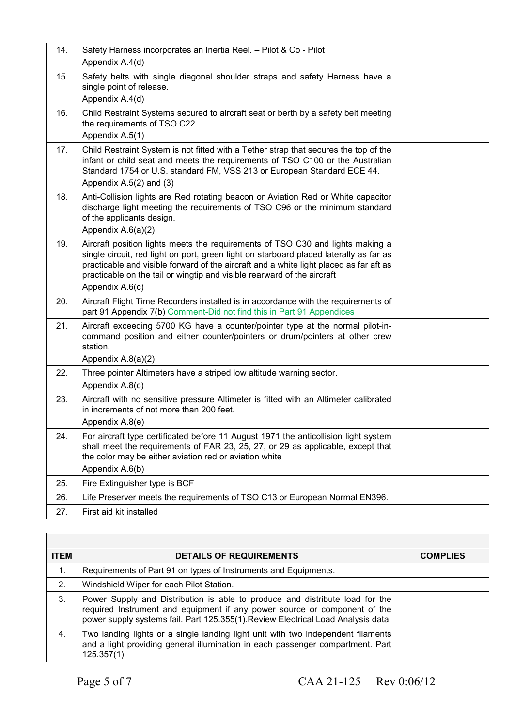| 14. | Safety Harness incorporates an Inertia Reel. - Pilot & Co - Pilot<br>Appendix A.4(d)                                                                                                                                                                                                                                                                             |  |
|-----|------------------------------------------------------------------------------------------------------------------------------------------------------------------------------------------------------------------------------------------------------------------------------------------------------------------------------------------------------------------|--|
| 15. | Safety belts with single diagonal shoulder straps and safety Harness have a<br>single point of release.<br>Appendix A.4(d)                                                                                                                                                                                                                                       |  |
| 16. | Child Restraint Systems secured to aircraft seat or berth by a safety belt meeting<br>the requirements of TSO C22.<br>Appendix A.5(1)                                                                                                                                                                                                                            |  |
| 17. | Child Restraint System is not fitted with a Tether strap that secures the top of the<br>infant or child seat and meets the requirements of TSO C100 or the Australian<br>Standard 1754 or U.S. standard FM, VSS 213 or European Standard ECE 44.<br>Appendix $A.5(2)$ and $(3)$                                                                                  |  |
| 18. | Anti-Collision lights are Red rotating beacon or Aviation Red or White capacitor<br>discharge light meeting the requirements of TSO C96 or the minimum standard<br>of the applicants design.<br>Appendix A.6(a)(2)                                                                                                                                               |  |
| 19. | Aircraft position lights meets the requirements of TSO C30 and lights making a<br>single circuit, red light on port, green light on starboard placed laterally as far as<br>practicable and visible forward of the aircraft and a white light placed as far aft as<br>practicable on the tail or wingtip and visible rearward of the aircraft<br>Appendix A.6(c) |  |
| 20. | Aircraft Flight Time Recorders installed is in accordance with the requirements of<br>part 91 Appendix 7(b) Comment-Did not find this in Part 91 Appendices                                                                                                                                                                                                      |  |
| 21. | Aircraft exceeding 5700 KG have a counter/pointer type at the normal pilot-in-<br>command position and either counter/pointers or drum/pointers at other crew<br>station.<br>Appendix A.8(a)(2)                                                                                                                                                                  |  |
| 22. | Three pointer Altimeters have a striped low altitude warning sector.<br>Appendix A.8(c)                                                                                                                                                                                                                                                                          |  |
| 23. | Aircraft with no sensitive pressure Altimeter is fitted with an Altimeter calibrated<br>in increments of not more than 200 feet.<br>Appendix A.8(e)                                                                                                                                                                                                              |  |
| 24. | For aircraft type certificated before 11 August 1971 the anticollision light system<br>shall meet the requirements of FAR 23, 25, 27, or 29 as applicable, except that<br>the color may be either aviation red or aviation white<br>Appendix A.6(b)                                                                                                              |  |
| 25. | Fire Extinguisher type is BCF                                                                                                                                                                                                                                                                                                                                    |  |
| 26. | Life Preserver meets the requirements of TSO C13 or European Normal EN396.                                                                                                                                                                                                                                                                                       |  |
| 27. | First aid kit installed                                                                                                                                                                                                                                                                                                                                          |  |

| <b>ITEM</b> | <b>DETAILS OF REQUIREMENTS</b>                                                                                                                                                                                                                | <b>COMPLIES</b> |
|-------------|-----------------------------------------------------------------------------------------------------------------------------------------------------------------------------------------------------------------------------------------------|-----------------|
| 1.          | Requirements of Part 91 on types of Instruments and Equipments.                                                                                                                                                                               |                 |
| 2.          | Windshield Wiper for each Pilot Station.                                                                                                                                                                                                      |                 |
| 3.          | Power Supply and Distribution is able to produce and distribute load for the<br>required Instrument and equipment if any power source or component of the<br>power supply systems fail. Part 125.355(1). Review Electrical Load Analysis data |                 |
| 4.          | Two landing lights or a single landing light unit with two independent filaments<br>and a light providing general illumination in each passenger compartment. Part<br>125.357(1)                                                              |                 |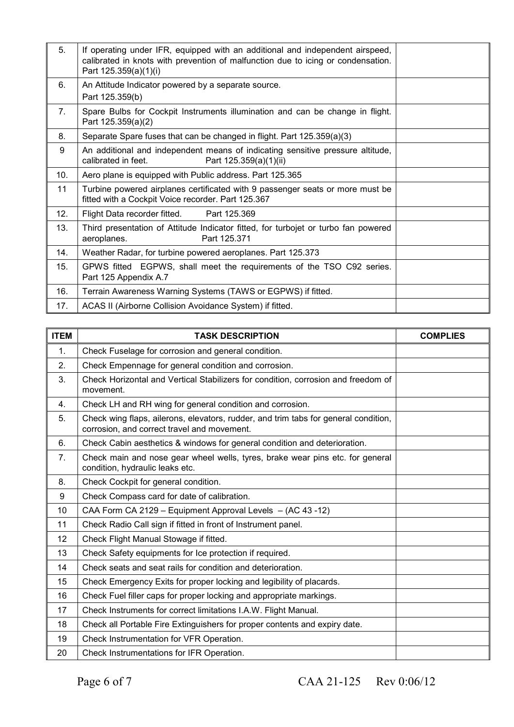| 5.             | If operating under IFR, equipped with an additional and independent airspeed,<br>calibrated in knots with prevention of malfunction due to icing or condensation.<br>Part 125.359(a)(1)(i) |  |
|----------------|--------------------------------------------------------------------------------------------------------------------------------------------------------------------------------------------|--|
| 6.             | An Attitude Indicator powered by a separate source.<br>Part 125.359(b)                                                                                                                     |  |
| 7 <sub>1</sub> | Spare Bulbs for Cockpit Instruments illumination and can be change in flight.<br>Part 125.359(a)(2)                                                                                        |  |
| 8.             | Separate Spare fuses that can be changed in flight. Part 125.359(a)(3)                                                                                                                     |  |
| 9              | An additional and independent means of indicating sensitive pressure altitude,<br>calibrated in feet.<br>Part 125.359(a)(1)(ii)                                                            |  |
| 10.            | Aero plane is equipped with Public address. Part 125.365                                                                                                                                   |  |
| 11             | Turbine powered airplanes certificated with 9 passenger seats or more must be<br>fitted with a Cockpit Voice recorder. Part 125.367                                                        |  |
| 12.            | Flight Data recorder fitted.<br>Part 125.369                                                                                                                                               |  |
| 13.            | Third presentation of Attitude Indicator fitted, for turbojet or turbo fan powered<br>Part 125.371<br>aeroplanes.                                                                          |  |
| 14.            | Weather Radar, for turbine powered aeroplanes. Part 125.373                                                                                                                                |  |
| 15.            | GPWS fitted EGPWS, shall meet the requirements of the TSO C92 series.<br>Part 125 Appendix A.7                                                                                             |  |
| 16.            | Terrain Awareness Warning Systems (TAWS or EGPWS) if fitted.                                                                                                                               |  |
| 17.            | ACAS II (Airborne Collision Avoidance System) if fitted.                                                                                                                                   |  |

| <b>ITEM</b>    | <b>TASK DESCRIPTION</b>                                                                                                            | <b>COMPLIES</b> |
|----------------|------------------------------------------------------------------------------------------------------------------------------------|-----------------|
| $\mathbf{1}$ . | Check Fuselage for corrosion and general condition.                                                                                |                 |
| 2.             | Check Empennage for general condition and corrosion.                                                                               |                 |
| 3.             | Check Horizontal and Vertical Stabilizers for condition, corrosion and freedom of<br>movement.                                     |                 |
| 4.             | Check LH and RH wing for general condition and corrosion.                                                                          |                 |
| 5.             | Check wing flaps, ailerons, elevators, rudder, and trim tabs for general condition,<br>corrosion, and correct travel and movement. |                 |
| 6.             | Check Cabin aesthetics & windows for general condition and deterioration.                                                          |                 |
| 7 <sub>1</sub> | Check main and nose gear wheel wells, tyres, brake wear pins etc. for general<br>condition, hydraulic leaks etc.                   |                 |
| 8.             | Check Cockpit for general condition.                                                                                               |                 |
| 9              | Check Compass card for date of calibration.                                                                                        |                 |
| 10             | CAA Form CA 2129 - Equipment Approval Levels - (AC 43-12)                                                                          |                 |
| 11             | Check Radio Call sign if fitted in front of Instrument panel.                                                                      |                 |
| 12             | Check Flight Manual Stowage if fitted.                                                                                             |                 |
| 13             | Check Safety equipments for Ice protection if required.                                                                            |                 |
| 14             | Check seats and seat rails for condition and deterioration.                                                                        |                 |
| 15             | Check Emergency Exits for proper locking and legibility of placards.                                                               |                 |
| 16             | Check Fuel filler caps for proper locking and appropriate markings.                                                                |                 |
| 17             | Check Instruments for correct limitations I.A.W. Flight Manual.                                                                    |                 |
| 18             | Check all Portable Fire Extinguishers for proper contents and expiry date.                                                         |                 |
| 19             | Check Instrumentation for VFR Operation.                                                                                           |                 |
| 20             | Check Instrumentations for IFR Operation.                                                                                          |                 |